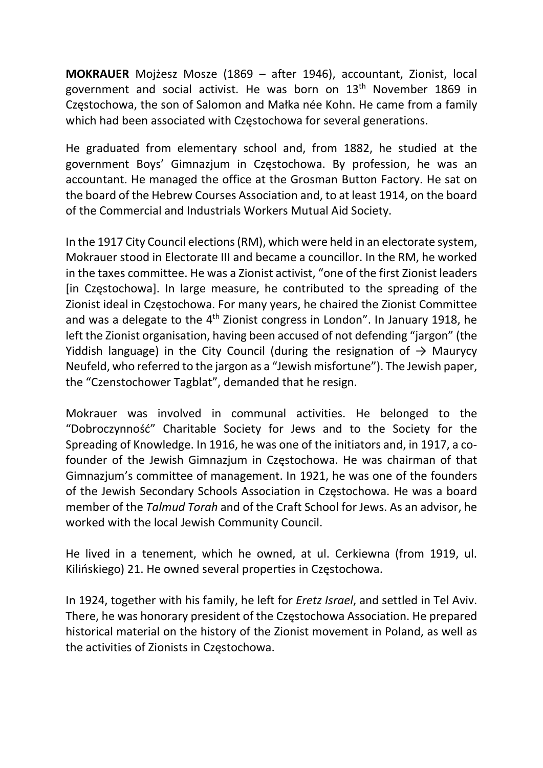MOKRAUER Mojżesz Mosze (1869 – after 1946), accountant, Zionist, local government and social activist. He was born on 13th November 1869 in Częstochowa, the son of Salomon and Małka née Kohn. He came from a family which had been associated with Częstochowa for several generations.

He graduated from elementary school and, from 1882, he studied at the government Boys' Gimnazjum in Częstochowa. By profession, he was an accountant. He managed the office at the Grosman Button Factory. He sat on the board of the Hebrew Courses Association and, to at least 1914, on the board of the Commercial and Industrials Workers Mutual Aid Society.

In the 1917 City Council elections (RM), which were held in an electorate system, Mokrauer stood in Electorate III and became a councillor. In the RM, he worked in the taxes committee. He was a Zionist activist, "one of the first Zionist leaders [in Częstochowa]. In large measure, he contributed to the spreading of the Zionist ideal in Częstochowa. For many years, he chaired the Zionist Committee and was a delegate to the  $4<sup>th</sup>$  Zionist congress in London". In January 1918, he left the Zionist organisation, having been accused of not defending "jargon" (the Yiddish language) in the City Council (during the resignation of  $\rightarrow$  Maurycy Neufeld, who referred to the jargon as a "Jewish misfortune"). The Jewish paper, the "Czenstochower Tagblat", demanded that he resign.

Mokrauer was involved in communal activities. He belonged to the "Dobroczynność" Charitable Society for Jews and to the Society for the Spreading of Knowledge. In 1916, he was one of the initiators and, in 1917, a cofounder of the Jewish Gimnazjum in Częstochowa. He was chairman of that Gimnazjum's committee of management. In 1921, he was one of the founders of the Jewish Secondary Schools Association in Częstochowa. He was a board member of the Talmud Torah and of the Craft School for Jews. As an advisor, he worked with the local Jewish Community Council.

He lived in a tenement, which he owned, at ul. Cerkiewna (from 1919, ul. Kilińskiego) 21. He owned several properties in Częstochowa.

In 1924, together with his family, he left for Eretz Israel, and settled in Tel Aviv. There, he was honorary president of the Częstochowa Association. He prepared historical material on the history of the Zionist movement in Poland, as well as the activities of Zionists in Częstochowa.